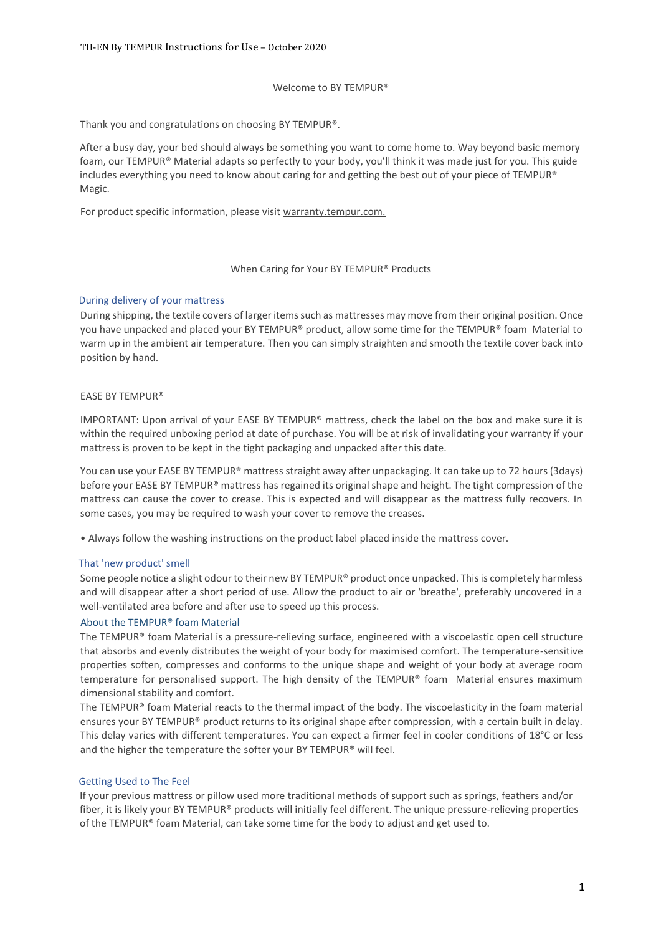## Welcome to BY TEMPUR®

Thank you and congratulations on choosing BY TEMPUR®.

After a busy day, your bed should always be something you want to come home to. Way beyond basic memory foam, our TEMPUR® Material adapts so perfectly to your body, you'll think it was made just for you. This guide includes everything you need to know about caring for and getting the best out of your piece of TEMPUR® Magic.

For product specific information, please visit warranty.tempur.com.

## When Caring for Your BY TEMPUR® Products

## During delivery of your mattress

During shipping, the textile covers of larger items such as mattresses may move from their original position. Once you have unpacked and placed your BY TEMPUR® product, allow some time for the TEMPUR® foam Material to warm up in the ambient air temperature. Then you can simply straighten and smooth the textile cover back into position by hand.

## EASE BY TEMPUR®

IMPORTANT: Upon arrival of your EASE BY TEMPUR® mattress, check the label on the box and make sure it is within the required unboxing period at date of purchase. You will be at risk of invalidating your warranty if your mattress is proven to be kept in the tight packaging and unpacked after this date.

You can use your EASE BY TEMPUR® mattress straight away after unpackaging. It can take up to 72 hours (3days) before your EASE BY TEMPUR® mattress has regained its original shape and height. The tight compression of the mattress can cause the cover to crease. This is expected and will disappear as the mattress fully recovers. In some cases, you may be required to wash your cover to remove the creases.

• Always follow the washing instructions on the product label placed inside the mattress cover.

#### That 'new product' smell

Some people notice a slight odour to their new BY TEMPUR® product once unpacked. This is completely harmless and will disappear after a short period of use. Allow the product to air or 'breathe', preferably uncovered in a well-ventilated area before and after use to speed up this process.

#### About the TEMPUR® foam Material

The TEMPUR® foam Material is a pressure-relieving surface, engineered with a viscoelastic open cell structure that absorbs and evenly distributes the weight of your body for maximised comfort. The temperature-sensitive properties soften, compresses and conforms to the unique shape and weight of your body at average room temperature for personalised support. The high density of the TEMPUR® foam Material ensures maximum dimensional stability and comfort.

The TEMPUR® foam Material reacts to the thermal impact of the body. The viscoelasticity in the foam material ensures your BY TEMPUR® product returns to its original shape after compression, with a certain built in delay. This delay varies with different temperatures. You can expect a firmer feel in cooler conditions of 18°C or less and the higher the temperature the softer your BY TEMPUR® will feel.

#### Getting Used to The Feel

If your previous mattress or pillow used more traditional methods of support such as springs, feathers and/or fiber, it is likely your BY TEMPUR® products will initially feel different. The unique pressure-relieving properties of the TEMPUR® foam Material, can take some time for the body to adjust and get used to.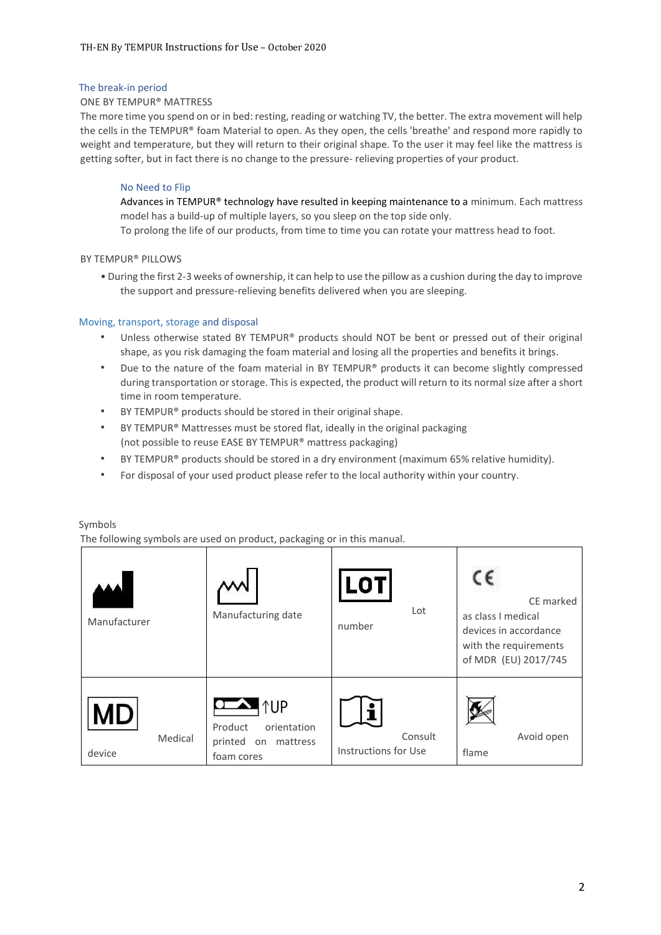# The break-in period

## ONE BY TEMPUR® MATTRESS

The more time you spend on or in bed: resting, reading or watching TV, the better. The extra movement will help the cells in the TEMPUR® foam Material to open. As they open, the cells 'breathe' and respond more rapidly to weight and temperature, but they will return to their original shape. To the user it may feel like the mattress is getting softer, but in fact there is no change to the pressure- relieving properties of your product.

# No Need to Flip

Advances in TEMPUR® technology have resulted in keeping maintenance to a minimum. Each mattress model has a build-up of multiple layers, so you sleep on the top side only.

To prolong the life of our products, from time to time you can rotate your mattress head to foot.

## BY TEMPUR® PILLOWS

• During the first 2-3 weeks of ownership, it can help to use the pillow as a cushion during the day to improve the support and pressure-relieving benefits delivered when you are sleeping.

## Moving, transport, storage and disposal

- Unless otherwise stated BY TEMPUR® products should NOT be bent or pressed out of their original shape, as you risk damaging the foam material and losing all the properties and benefits it brings.
- Due to the nature of the foam material in BY TEMPUR® products it can become slightly compressed during transportation or storage. This is expected, the product will return to its normal size after a short time in room temperature.
- BY TEMPUR® products should be stored in their original shape.
- BY TEMPUR® Mattresses must be stored flat, ideally in the original packaging (not possible to reuse EASE BY TEMPUR® mattress packaging)
- BY TEMPUR® products should be stored in a dry environment (maximum 65% relative humidity).
- For disposal of your used product please refer to the local authority within your country.

## Symbols

The following symbols are used on product, packaging or in this manual.

| Manufacturer                   | Manufacturing date                                                                     | LOT<br>Lot<br>number            | CE marked<br>as class I medical<br>devices in accordance<br>with the requirements<br>of MDR (EU) 2017/745 |
|--------------------------------|----------------------------------------------------------------------------------------|---------------------------------|-----------------------------------------------------------------------------------------------------------|
| <b>MD</b><br>Medical<br>device | $\sim$ $\uparrow$ UP<br>Product<br>orientation<br>printed on<br>mattress<br>foam cores | Consult<br>Instructions for Use | Avoid open<br>flame                                                                                       |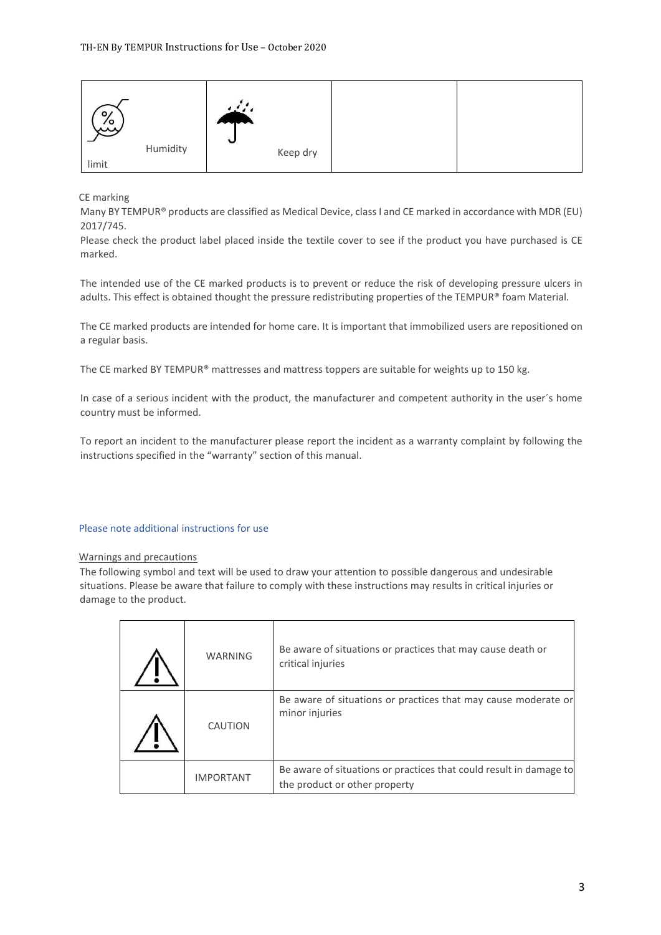| $\circ$<br>مبر<br>مبر |          | $\sim$<br>$\ddot{\phantom{0}}$ |          |  |
|-----------------------|----------|--------------------------------|----------|--|
|                       | Humidity |                                | Keep dry |  |
| limit                 |          |                                |          |  |

CE marking

Many BY TEMPUR® products are classified as Medical Device, class I and CE marked in accordance with MDR (EU) 2017/745.

Please check the product label placed inside the textile cover to see if the product you have purchased is CE marked.

The intended use of the CE marked products is to prevent or reduce the risk of developing pressure ulcers in adults. This effect is obtained thought the pressure redistributing properties of the TEMPUR® foam Material.

The CE marked products are intended for home care. It is important that immobilized users are repositioned on a regular basis.

The CE marked BY TEMPUR® mattresses and mattress toppers are suitable for weights up to 150 kg.

In case of a serious incident with the product, the manufacturer and competent authority in the user´s home country must be informed.

To report an incident to the manufacturer please report the incident as a warranty complaint by following the instructions specified in the "warranty" section of this manual.

# Please note additional instructions for use

## Warnings and precautions

The following symbol and text will be used to draw your attention to possible dangerous and undesirable situations. Please be aware that failure to comply with these instructions may results in critical injuries or damage to the product.

| <b>WARNING</b>   | Be aware of situations or practices that may cause death or<br>critical injuries                    |
|------------------|-----------------------------------------------------------------------------------------------------|
| CAUTION          | Be aware of situations or practices that may cause moderate or<br>minor injuries                    |
| <b>IMPORTANT</b> | Be aware of situations or practices that could result in damage to<br>the product or other property |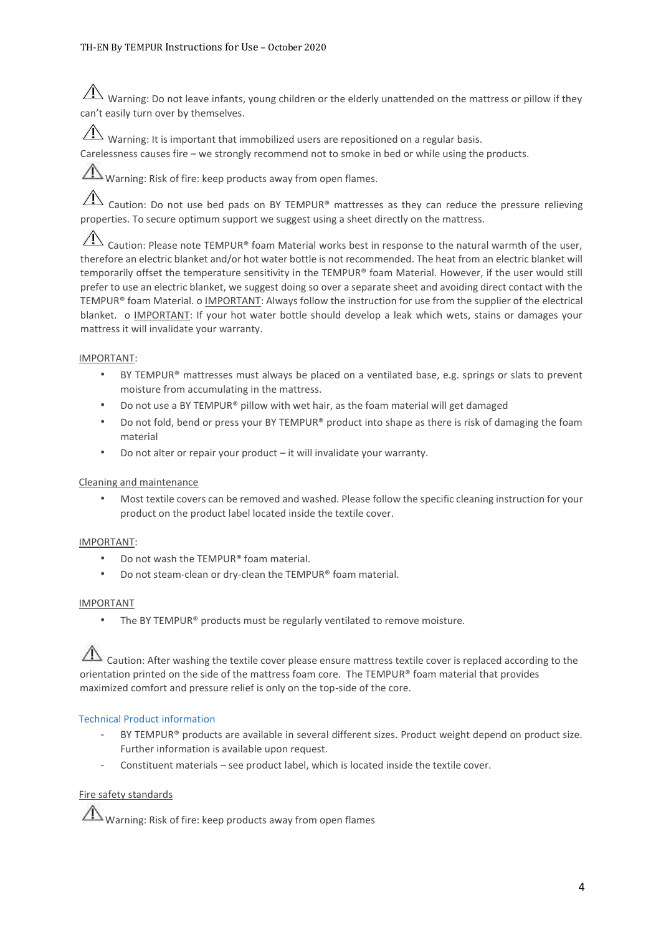$\hat{A}$  Warning: Do not leave infants, young children or the elderly unattended on the mattress or pillow if they can't easily turn over by themselves.

 $\sqrt{!}$  Warning: It is important that immobilized users are repositioned on a regular basis.

Carelessness causes fire – we strongly recommend not to smoke in bed or while using the products.

Warning: Risk of fire: keep products away from open flames.

 $\hat{A}$  Caution: Do not use bed pads on BY TEMPUR® mattresses as they can reduce the pressure relieving properties. To secure optimum support we suggest using a sheet directly on the mattress.

Caution: Please note TEMPUR® foam Material works best in response to the natural warmth of the user, therefore an electric blanket and/or hot water bottle is not recommended. The heat from an electric blanket will temporarily offset the temperature sensitivity in the TEMPUR® foam Material. However, if the user would still prefer to use an electric blanket, we suggest doing so over a separate sheet and avoiding direct contact with the TEMPUR® foam Material. o IMPORTANT: Always follow the instruction for use from the supplier of the electrical blanket. o IMPORTANT: If your hot water bottle should develop a leak which wets, stains or damages your mattress it will invalidate your warranty.

## IMPORTANT:

- BY TEMPUR® mattresses must always be placed on a ventilated base, e.g. springs or slats to prevent moisture from accumulating in the mattress.
- Do not use a BY TEMPUR® pillow with wet hair, as the foam material will get damaged
- Do not fold, bend or press your BY TEMPUR® product into shape as there is risk of damaging the foam material
- Do not alter or repair your product it will invalidate your warranty.

# Cleaning and maintenance

• Most textile covers can be removed and washed. Please follow the specific cleaning instruction for your product on the product label located inside the textile cover.

## IMPORTANT:

- Do not wash the TEMPUR® foam material.
- Do not steam-clean or dry-clean the TEMPUR® foam material.

## IMPORTANT

The BY TEMPUR® products must be regularly ventilated to remove moisture.

Caution: After washing the textile cover please ensure mattress textile cover is replaced according to the orientation printed on the side of the mattress foam core. The TEMPUR® foam material that provides maximized comfort and pressure relief is only on the top-side of the core.

# Technical Product information

- BY TEMPUR® products are available in several different sizes. Product weight depend on product size. Further information is available upon request.
- Constituent materials see product label, which is located inside the textile cover.

# Fire safety standards

Warning: Risk of fire: keep products away from open flames